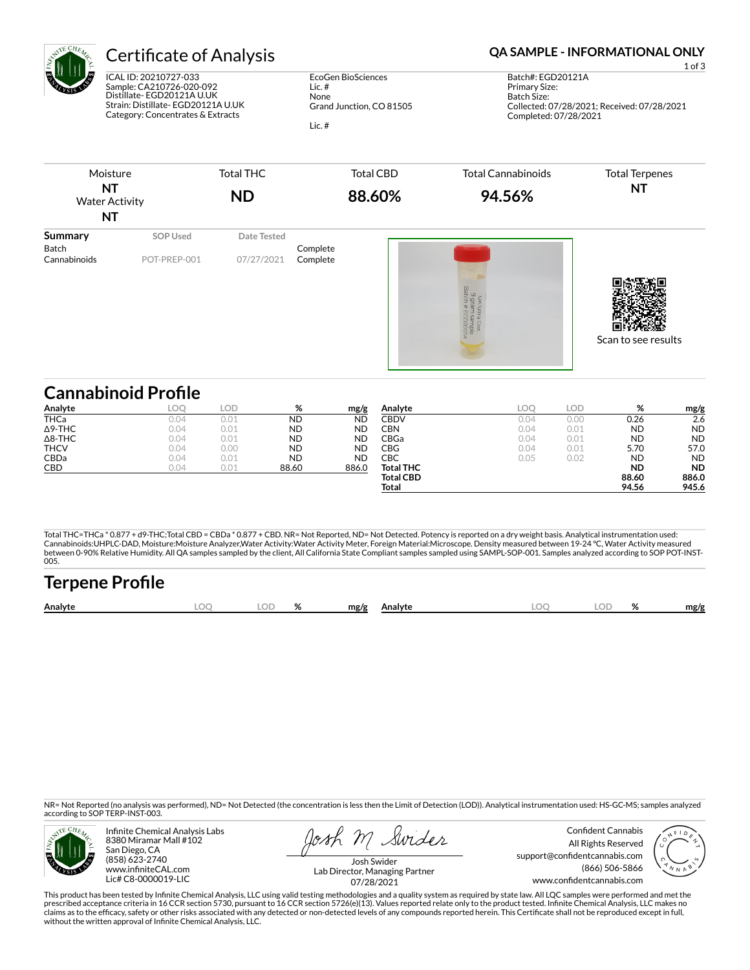

ICAL ID: 20210727-033 Sample: CA210726-020-092 Distillate- EGD20121A U.UK Strain: Distillate- EGD20121A U.UK Category: Concentrates & Extracts

EcoGen BioSciences Lic. # None Grand Junction, CO 81505 Lic. #

# Certificate of Analysis **Certificate of Analysis QA SAMPLE - INFORMATIONAL ONLY**

1 of 3 Batch#: EGD20121A Primary Size: Batch Size: Collected: 07/28/2021; Received: 07/28/2021 Completed: 07/28/2021



| Analyte        | LOC  | .OD  | %         | mg/g      | Analyte          | LOO  | LOD. | %         | mg/g      |
|----------------|------|------|-----------|-----------|------------------|------|------|-----------|-----------|
| <b>THCa</b>    | 0.04 | 0.01 | <b>ND</b> | <b>ND</b> | CBDV             | 0.04 | 0.00 | 0.26      | 2.6       |
| $\Delta$ 9-THC | 0.04 | 0.01 | <b>ND</b> | <b>ND</b> | CBN              | 0.04 | 0.01 | <b>ND</b> | <b>ND</b> |
| $\Delta$ 8-THC | 0.04 | 0.01 | <b>ND</b> | <b>ND</b> | CBGa             | 0.04 | 0.01 | <b>ND</b> | <b>ND</b> |
| <b>THCV</b>    | 0.04 | 0.00 | <b>ND</b> | <b>ND</b> | CBG              | 0.04 | 0.01 | 5.70      | 57.0      |
| <b>CBDa</b>    | 0.04 | 0.01 | <b>ND</b> | <b>ND</b> | СВС              | 0.05 | 0.02 | <b>ND</b> | <b>ND</b> |
| CBD            | 0.04 | 0.01 | 88.60     | 886.0     | <b>Total THC</b> |      |      | <b>ND</b> | <b>ND</b> |
|                |      |      |           |           | <b>Total CBD</b> |      |      | 88.60     | 886.0     |
|                |      |      |           |           | Total            |      |      | 94.56     | 945.6     |

Total THC=THCa \* 0.877 + d9-THC;Total CBD = CBDa \* 0.877 + CBD. NR= Not Reported, ND= Not Detected. Potency is reported on a dry weight basis. Analytical instrumentation used:<br>Cannabinoids:UHPLC-DAD, Moisture:Moisture Anal between 0-90% Relative Humidity. All QA samples sampled by the client, All California State Compliant samples sampled using SAMPL-SOP-001. Samples analyzed according to SOP POT-INST-005.

| <b>Terpene Profile</b> |    |   |      |         |    |    |      |
|------------------------|----|---|------|---------|----|----|------|
| Analyte                | ΩГ | % | mg/g | Analyte | OC | OD | mg/g |

NR= Not Reported (no analysis was performed), ND= Not Detected (the concentration is less then the Limit of Detection (LOD)). Analytical instrumentation used: HS-GC-MS; samples analyzed according to SOP TERP-INST-003.



Infinite Chemical Analysis Labs 8380 Miramar Mall #102 San Diego, CA (858) 623-2740 www.infiniteCAL.com Lic# C8-0000019-LIC

Josh M Swider

Confident Cannabis All Rights Reserved support@confidentcannabis.com (866) 506-5866 www.confidentcannabis.com



Josh Swider Lab Director, Managing Partner 07/28/2021

This product has been tested by Infinite Chemical Analysis, LLC using valid testing methodologies and a quality system as required by state law. All LQC samples were performed and met the prescribed acceptance criteria in 16 CCR section 5730, pursuant to 16 CCR section 5726(e)(13). Values reported relate only to the product tested. Infinite Chemical Analysis, LLC makes no<br>claims as to the efficacy, safety o without the written approval of Infinite Chemical Analysis, LLC.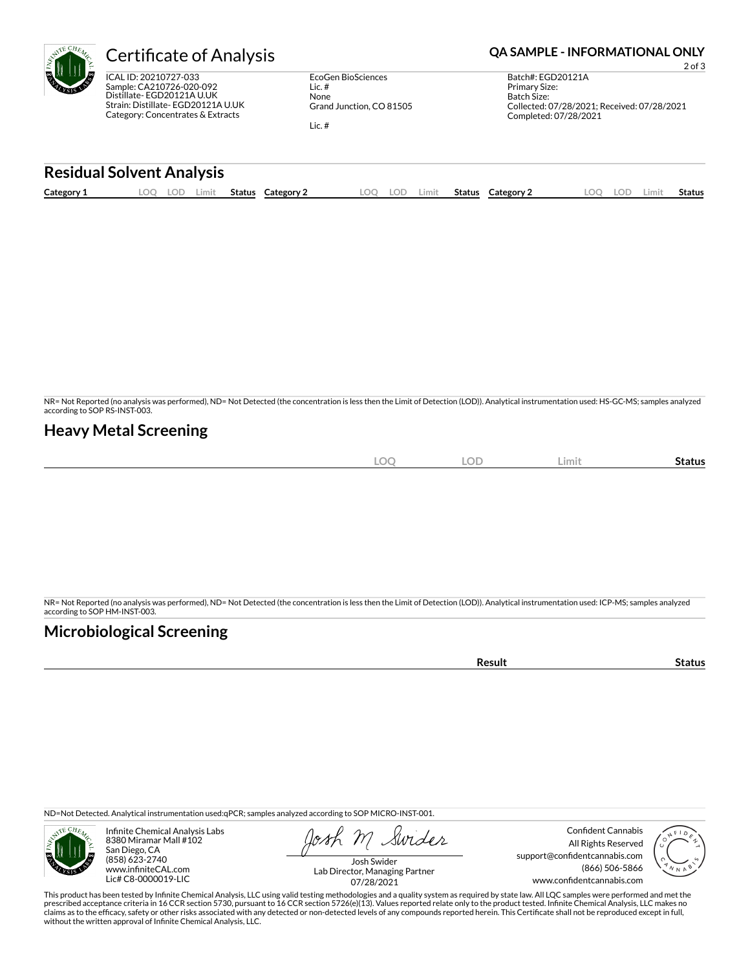

ICAL ID: 20210727-033 Sample: CA210726-020-092 Distillate- EGD20121A U.UK Strain: Distillate- EGD20121A U.UK Category: Concentrates & Extracts

EcoGen BioSciences Lic. # None Grand Junction, CO 81505 Lic. #

## Certificate of Analysis **Certificate of Analysis QA SAMPLE - INFORMATIONAL ONLY**

2 of 3

Batch#: EGD20121A Primary Size: Batch Size: Collected: 07/28/2021; Received: 07/28/2021 Completed: 07/28/2021

### **Residual Solvent Analysis**

| Category 1 | $\Omega$ | LOD. | Limit | <b>Status</b> | Category 2 | LOO | lod | .imit | Status | <b>Category 2</b> | LOO | LOD | Limit | Status |
|------------|----------|------|-------|---------------|------------|-----|-----|-------|--------|-------------------|-----|-----|-------|--------|
|            |          |      |       |               |            |     |     |       |        |                   |     |     |       |        |

NR= Not Reported (no analysis was performed), ND= Not Detected (the concentration is less then the Limit of Detection (LOD)). Analytical instrumentation used: HS-GC-MS; samples analyzed according to SOP RS-INST-003.

### **Heavy Metal Screening**

| $\sim$ | <b>LOD</b><br>$\sim$<br>) ( | Limit | Status |
|--------|-----------------------------|-------|--------|
| $-$    | $\sim$                      |       |        |

NR= Not Reported (no analysis was performed), ND= Not Detected (the concentration is less then the Limit of Detection (LOD)). Analytical instrumentation used: ICP-MS; samples analyzed according to SOP HM-INST-003.

# **Microbiological Screening**

**Result Status** 

ND=Not Detected. Analytical instrumentation used:qPCR; samples analyzed according to SOP MICRO-INST-001.



Infinite Chemical Analysis Labs 8380 Miramar Mall #102 San Diego, CA (858) 623-2740 www.infiniteCAL.com Lic# C8-0000019-LIC

Swider

Confident Cannabis All Rights Reserved support@confidentcannabis.com (866) 506-5866 www.confidentcannabis.com



Josh Swider Lab Director, Managing Partner 07/28/2021

This product has been tested by Infinite Chemical Analysis, LLC using valid testing methodologies and a quality system as required by state law. All LQC samples were performed and met the prescribed acceptance criteria in 16 CCR section 5730, pursuant to 16 CCR section 5726(e)(13). Values reported relate only to the product tested. Infinite Chemical Analysis, LLC makes no<br>claims as to the efficacy, safety o without the written approval of Infinite Chemical Analysis, LLC.